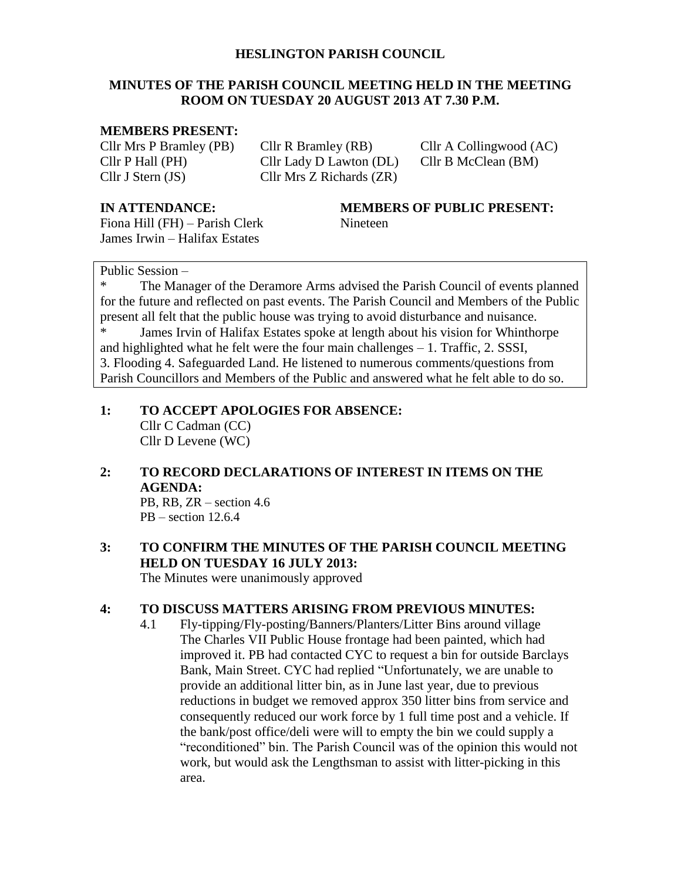#### **HESLINGTON PARISH COUNCIL**

#### **MINUTES OF THE PARISH COUNCIL MEETING HELD IN THE MEETING ROOM ON TUESDAY 20 AUGUST 2013 AT 7.30 P.M.**

#### **MEMBERS PRESENT:**

Cllr Mrs P Bramley (PB) Cllr R Bramley (RB) Cllr A Collingwood (AC) Cllr P Hall (PH) Cllr Lady D Lawton (DL) Cllr B McClean (BM) Cllr J Stern (JS) Cllr Mrs Z Richards (ZR)

Fiona Hill (FH) – Parish Clerk Nineteen James Irwin – Halifax Estates

#### **IN ATTENDANCE: MEMBERS OF PUBLIC PRESENT:**

#### Public Session –

The Manager of the Deramore Arms advised the Parish Council of events planned for the future and reflected on past events. The Parish Council and Members of the Public present all felt that the public house was trying to avoid disturbance and nuisance.

James Irvin of Halifax Estates spoke at length about his vision for Whinthorpe and highlighted what he felt were the four main challenges – 1. Traffic, 2. SSSI, 3. Flooding 4. Safeguarded Land. He listened to numerous comments/questions from Parish Councillors and Members of the Public and answered what he felt able to do so.

# **1: TO ACCEPT APOLOGIES FOR ABSENCE:** Cllr C Cadman (CC)

Cllr D Levene (WC)

#### **2: TO RECORD DECLARATIONS OF INTEREST IN ITEMS ON THE AGENDA:**

PB, RB, ZR – section 4.6  $PB - section 12.6.4$ 

# **3: TO CONFIRM THE MINUTES OF THE PARISH COUNCIL MEETING HELD ON TUESDAY 16 JULY 2013:**

The Minutes were unanimously approved

#### **4: TO DISCUSS MATTERS ARISING FROM PREVIOUS MINUTES:**

4.1 Fly-tipping/Fly-posting/Banners/Planters/Litter Bins around village The Charles VII Public House frontage had been painted, which had improved it. PB had contacted CYC to request a bin for outside Barclays Bank, Main Street. CYC had replied "Unfortunately, we are unable to provide an additional litter bin, as in June last year, due to previous reductions in budget we removed approx 350 litter bins from service and consequently reduced our work force by 1 full time post and a vehicle. If the bank/post office/deli were will to empty the bin we could supply a "reconditioned" bin. The Parish Council was of the opinion this would not work, but would ask the Lengthsman to assist with litter-picking in this area.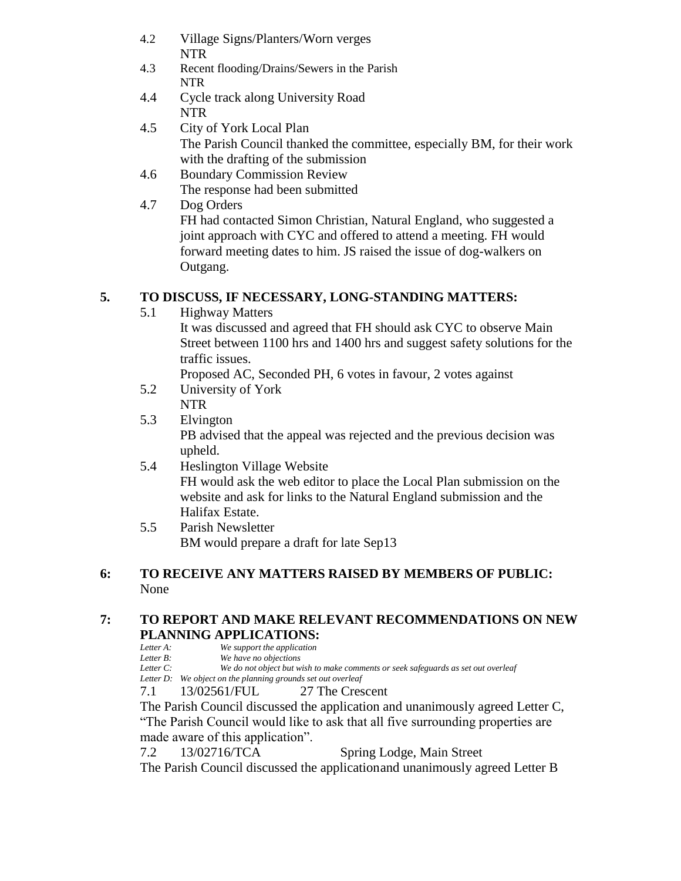- 4.2 Village Signs/Planters/Worn verges NTR
- 4.3 Recent flooding/Drains/Sewers in the Parish NTR
- 4.4 Cycle track along University Road NTR
- 4.5 City of York Local Plan The Parish Council thanked the committee, especially BM, for their work with the drafting of the submission
- 4.6 Boundary Commission Review The response had been submitted
- 4.7 Dog Orders FH had contacted Simon Christian, Natural England, who suggested a joint approach with CYC and offered to attend a meeting. FH would forward meeting dates to him. JS raised the issue of dog-walkers on Outgang.

## **5. TO DISCUSS, IF NECESSARY, LONG-STANDING MATTERS:**

- 5.1 Highway Matters
	- It was discussed and agreed that FH should ask CYC to observe Main Street between 1100 hrs and 1400 hrs and suggest safety solutions for the traffic issues.

Proposed AC, Seconded PH, 6 votes in favour, 2 votes against

- 5.2 University of York NTR
- 5.3 Elvington PB advised that the appeal was rejected and the previous decision was upheld.
- 5.4 Heslington Village Website FH would ask the web editor to place the Local Plan submission on the website and ask for links to the Natural England submission and the Halifax Estate.
- 5.5 Parish Newsletter BM would prepare a draft for late Sep13

## **6: TO RECEIVE ANY MATTERS RAISED BY MEMBERS OF PUBLIC:** None

## **7: TO REPORT AND MAKE RELEVANT RECOMMENDATIONS ON NEW PLANNING APPLICATIONS:**

| Letter A:           | We support the application |  |
|---------------------|----------------------------|--|
| $L_{\text{max}}$ D. | We have no objection       |  |

*Letter B: We have no objections Letter C: We do not object but wish to make comments or seek safeguards as set out overleaf*

*Letter D: We object on the planning grounds set out overleaf*

7.1 13/02561/FUL 27 The Crescent

The Parish Council discussed the application and unanimously agreed Letter C, "The Parish Council would like to ask that all five surrounding properties are made aware of this application".

7.2 13/02716/TCA Spring Lodge, Main Street

The Parish Council discussed the applicationand unanimously agreed Letter B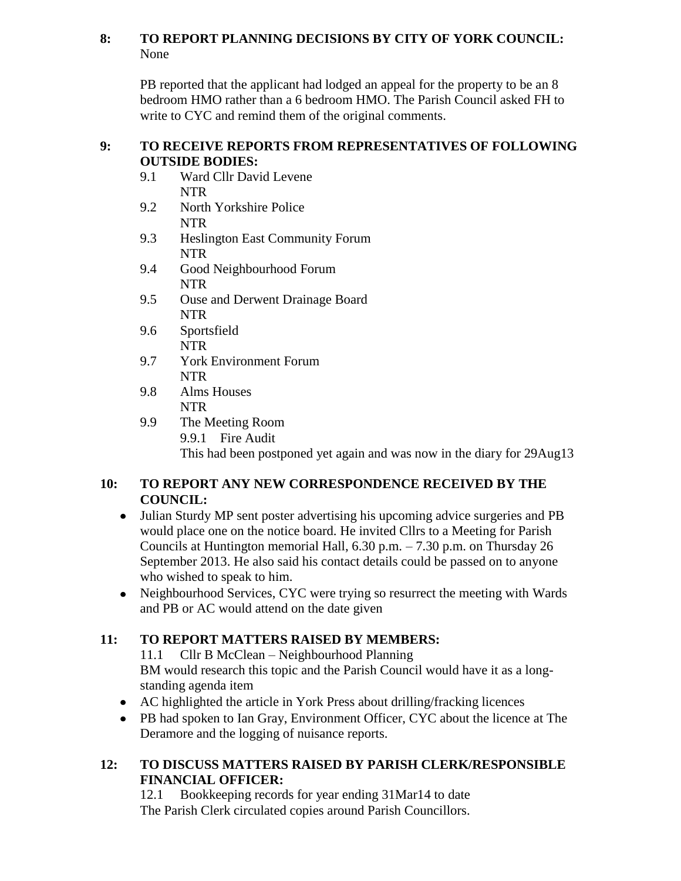## **8: TO REPORT PLANNING DECISIONS BY CITY OF YORK COUNCIL:** None

PB reported that the applicant had lodged an appeal for the property to be an 8 bedroom HMO rather than a 6 bedroom HMO. The Parish Council asked FH to write to CYC and remind them of the original comments.

#### **9: TO RECEIVE REPORTS FROM REPRESENTATIVES OF FOLLOWING OUTSIDE BODIES:**

- 9.1 Ward Cllr David Levene NTR
- 9.2 North Yorkshire Police NTR
- 9.3 Heslington East Community Forum NTR
- 9.4 Good Neighbourhood Forum NTR
- 9.5 Ouse and Derwent Drainage Board NTR
- 9.6 Sportsfield NTR
- 9.7 York Environment Forum NTR
- 9.8 Alms Houses NTR
- 9.9 The Meeting Room 9.9.1 Fire Audit This had been postponed yet again and was now in the diary for 29Aug13

## **10: TO REPORT ANY NEW CORRESPONDENCE RECEIVED BY THE COUNCIL:**

- Julian Sturdy MP sent poster advertising his upcoming advice surgeries and PB would place one on the notice board. He invited Cllrs to a Meeting for Parish Councils at Huntington memorial Hall,  $6.30$  p.m.  $- 7.30$  p.m. on Thursday 26 September 2013. He also said his contact details could be passed on to anyone who wished to speak to him.
- Neighbourhood Services, CYC were trying so resurrect the meeting with Wards and PB or AC would attend on the date given

# **11: TO REPORT MATTERS RAISED BY MEMBERS:**

11.1 Cllr B McClean – Neighbourhood Planning BM would research this topic and the Parish Council would have it as a longstanding agenda item

- AC highlighted the article in York Press about drilling/fracking licences
- PB had spoken to Ian Gray, Environment Officer, CYC about the licence at The Deramore and the logging of nuisance reports.

## **12: TO DISCUSS MATTERS RAISED BY PARISH CLERK/RESPONSIBLE FINANCIAL OFFICER:**

12.1 Bookkeeping records for year ending 31Mar14 to date The Parish Clerk circulated copies around Parish Councillors.